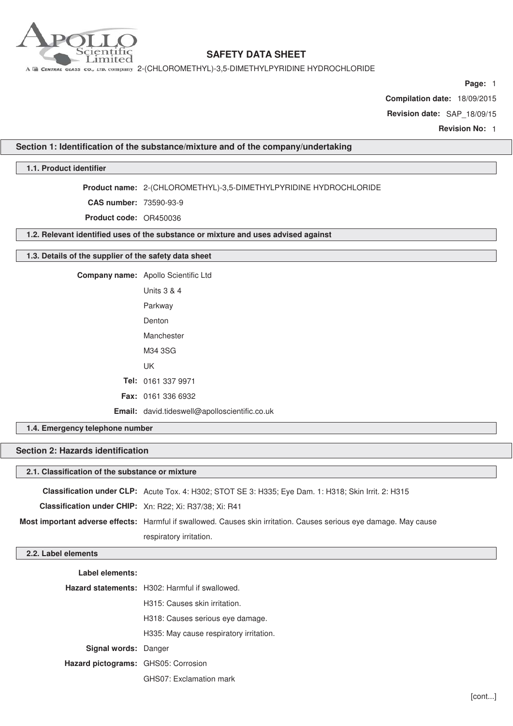

A E CENTRAL GLASS CO., LTD. COMPANY 2-(CHLOROMETHYL)-3,5-DIMETHYLPYRIDINE HYDROCHLORIDE

**Page:** 1

**Compilation date:** 18/09/2015

**Revision date:** SAP\_18/09/15

**Revision No:** 1

## **Section 1: Identification of the substance/mixture and of the company/undertaking**

## **1.1. Product identifier**

**Product name:** 2-(CHLOROMETHYL)-3,5-DIMETHYLPYRIDINE HYDROCHLORIDE

**CAS number:** 73590-93-9

**Product code:** OR450036

**1.2. Relevant identified uses of the substance or mixture and uses advised against**

### **1.3. Details of the supplier of the safety data sheet**

| Company name: Apollo Scientific Ltd            |
|------------------------------------------------|
| Units 3 & 4                                    |
| Parkway                                        |
| Denton                                         |
| Manchester                                     |
| M34 3SG                                        |
| UK                                             |
| Tel: 0161 337 9971                             |
| <b>Fax: 0161 336 6932</b>                      |
| <b>Email:</b> david.tideswell@apolloscientific |

## **1.4. Emergency telephone number**

## **Section 2: Hazards identification**

### **2.1. Classification of the substance or mixture**

|                                                                | Classification under CLP: Acute Tox. 4: H302; STOT SE 3: H335; Eye Dam. 1: H318; Skin Irrit. 2: H315               |
|----------------------------------------------------------------|--------------------------------------------------------------------------------------------------------------------|
| <b>Classification under CHIP:</b> Xn: R22; Xi: R37/38; Xi: R41 |                                                                                                                    |
|                                                                | Most important adverse effects: Harmful if swallowed. Causes skin irritation. Causes serious eye damage. May cause |
|                                                                | respiratory irritation.                                                                                            |

**Email:** david.tideswell@apolloscientific.co.uk

## **2.2. Label elements**

**Label elements:**

**Hazard statements:** H302: Harmful if swallowed.

H315: Causes skin irritation.

H318: Causes serious eye damage.

H335: May cause respiratory irritation.

**Signal words:** Danger

**Hazard pictograms:** GHS05: Corrosion

GHS07: Exclamation mark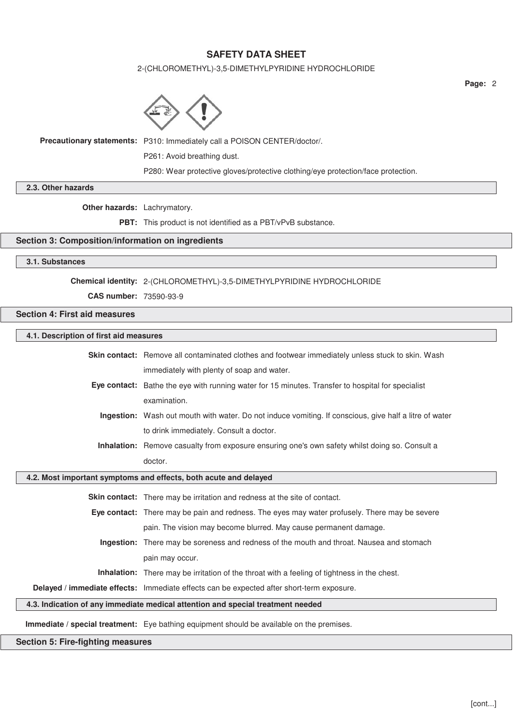## 2-(CHLOROMETHYL)-3,5-DIMETHYLPYRIDINE HYDROCHLORIDE



**Precautionary statements:** P310: Immediately call a POISON CENTER/doctor/.

P261: Avoid breathing dust.

P280: Wear protective gloves/protective clothing/eye protection/face protection.

**2.3. Other hazards**

**Other hazards:** Lachrymatory.

**PBT:** This product is not identified as a PBT/vPvB substance.

## **Section 3: Composition/information on ingredients**

## **3.1. Substances**

## **Chemical identity:** 2-(CHLOROMETHYL)-3,5-DIMETHYLPYRIDINE HYDROCHLORIDE

**CAS number:** 73590-93-9

### **Section 4: First aid measures**

## **4.1. Description of first aid measures**

|                                                                  | <b>Skin contact:</b> Remove all contaminated clothes and footwear immediately unless stuck to skin. Wash |
|------------------------------------------------------------------|----------------------------------------------------------------------------------------------------------|
|                                                                  | immediately with plenty of soap and water.                                                               |
|                                                                  | <b>Eye contact:</b> Bathe the eye with running water for 15 minutes. Transfer to hospital for specialist |
|                                                                  | examination.                                                                                             |
|                                                                  | Ingestion: Wash out mouth with water. Do not induce vomiting. If conscious, give half a litre of water   |
|                                                                  | to drink immediately. Consult a doctor.                                                                  |
|                                                                  | Inhalation: Remove casualty from exposure ensuring one's own safety whilst doing so. Consult a           |
|                                                                  | doctor.                                                                                                  |
| 4.2. Most important symptoms and effects, both acute and delayed |                                                                                                          |
|                                                                  |                                                                                                          |
|                                                                  | Skin contact: There may be irritation and redness at the site of contact.                                |
|                                                                  | Eye contact: There may be pain and redness. The eyes may water profusely. There may be severe            |
|                                                                  | pain. The vision may become blurred. May cause permanent damage.                                         |
|                                                                  | Ingestion: There may be soreness and redness of the mouth and throat. Nausea and stomach                 |
|                                                                  | pain may occur.                                                                                          |
|                                                                  | <b>Inhalation:</b> There may be irritation of the throat with a feeling of tightness in the chest.       |
|                                                                  | Delayed / immediate effects: Immediate effects can be expected after short-term exposure.                |
|                                                                  | 4.3. Indication of any immediate medical attention and special treatment needed                          |

### **Immediate / special treatment:** Eye bathing equipment should be available on the premises.

## **Section 5: Fire-fighting measures**

 $\sqrt{2}$ 

**Page:** 2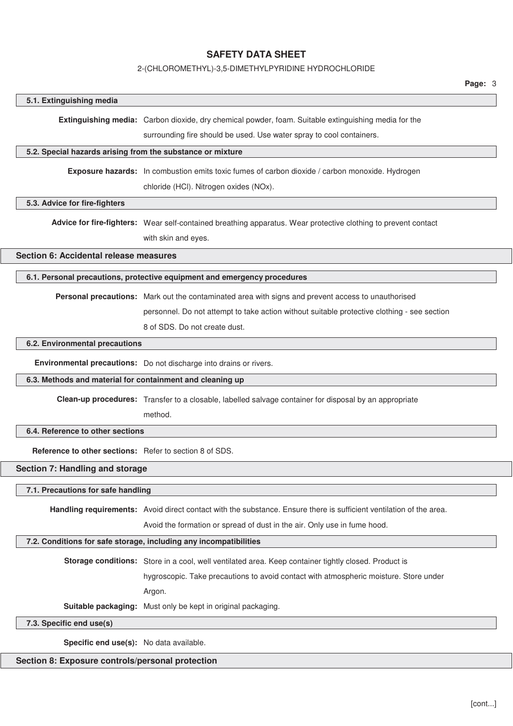### 2-(CHLOROMETHYL)-3,5-DIMETHYLPYRIDINE HYDROCHLORIDE

#### **5.1. Extinguishing media**

**Extinguishing media:** Carbon dioxide, dry chemical powder, foam. Suitable extinguishing media for the

surrounding fire should be used. Use water spray to cool containers.

### **5.2. Special hazards arising from the substance or mixture**

**Exposure hazards:** In combustion emits toxic fumes of carbon dioxide / carbon monoxide. Hydrogen

chloride (HCl). Nitrogen oxides (NOx).

### **5.3. Advice for fire-fighters**

**Advice for fire-fighters:** Wear self-contained breathing apparatus. Wear protective clothing to prevent contact with skin and eyes.

**Section 6: Accidental release measures**

### **6.1. Personal precautions, protective equipment and emergency procedures**

**Personal precautions:** Mark out the contaminated area with signs and prevent access to unauthorised

personnel. Do not attempt to take action without suitable protective clothing - see section

8 of SDS. Do not create dust.

## **6.2. Environmental precautions**

**Environmental precautions:** Do not discharge into drains or rivers.

### **6.3. Methods and material for containment and cleaning up**

**Clean-up procedures:** Transfer to a closable, labelled salvage container for disposal by an appropriate

method.

## **6.4. Reference to other sections**

**Reference to other sections:** Refer to section 8 of SDS.

## **Section 7: Handling and storage**

### **7.1. Precautions for safe handling**

**Handling requirements:** Avoid direct contact with the substance. Ensure there is sufficient ventilation of the area.

Avoid the formation or spread of dust in the air. Only use in fume hood.

## **7.2. Conditions for safe storage, including any incompatibilities**

**Storage conditions:** Store in a cool, well ventilated area. Keep container tightly closed. Product is

hygroscopic. Take precautions to avoid contact with atmospheric moisture. Store under

Argon.

**Suitable packaging:** Must only be kept in original packaging.

## **7.3. Specific end use(s)**

**Specific end use(s):** No data available.

### **Section 8: Exposure controls/personal protection**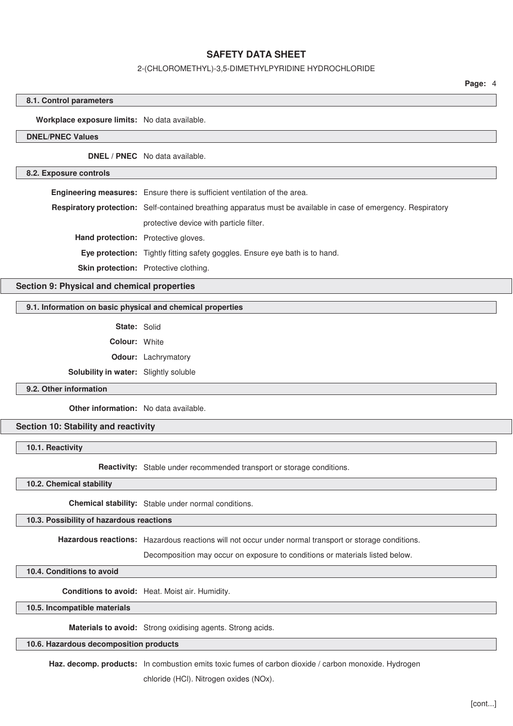### 2-(CHLOROMETHYL)-3,5-DIMETHYLPYRIDINE HYDROCHLORIDE

**Page:** 4

### **8.1. Control parameters**

### **Workplace exposure limits:** No data available.

## **DNEL/PNEC Values**

**DNEL / PNEC** No data available.

#### **8.2. Exposure controls**

**Engineering measures:** Ensure there is sufficient ventilation of the area. **Respiratory protection:** Self-contained breathing apparatus must be available in case of emergency. Respiratory protective device with particle filter. **Hand protection:** Protective gloves. **Eye protection:** Tightly fitting safety goggles. Ensure eye bath is to hand. **Skin protection:** Protective clothing.

**Section 9: Physical and chemical properties**

### **9.1. Information on basic physical and chemical properties**

**State:** Solid

**Colour:** White

**Odour:** Lachrymatory

**Solubility in water:** Slightly soluble

#### **9.2. Other information**

**Other information:** No data available.

## **Section 10: Stability and reactivity**

**10.1. Reactivity**

**Reactivity:** Stable under recommended transport or storage conditions.

**10.2. Chemical stability**

**Chemical stability:** Stable under normal conditions.

### **10.3. Possibility of hazardous reactions**

**Hazardous reactions:** Hazardous reactions will not occur under normal transport or storage conditions.

Decomposition may occur on exposure to conditions or materials listed below.

### **10.4. Conditions to avoid**

**Conditions to avoid:** Heat. Moist air. Humidity.

## **10.5. Incompatible materials**

**Materials to avoid:** Strong oxidising agents. Strong acids.

### **10.6. Hazardous decomposition products**

**Haz. decomp. products:** In combustion emits toxic fumes of carbon dioxide / carbon monoxide. Hydrogen

chloride (HCl). Nitrogen oxides (NOx).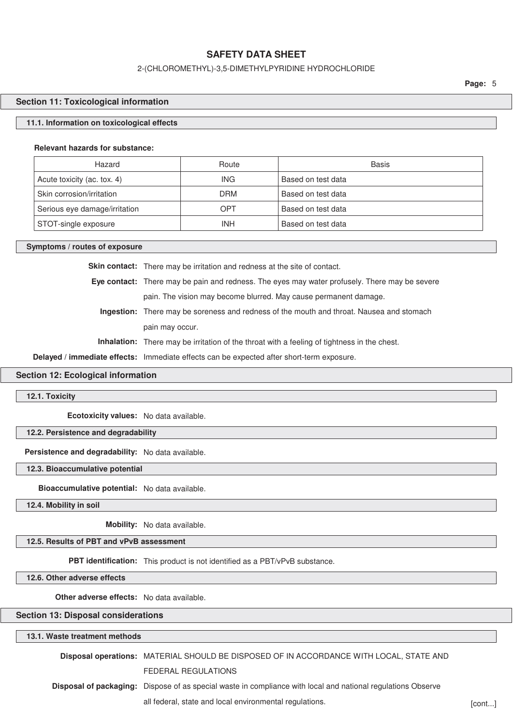### 2-(CHLOROMETHYL)-3,5-DIMETHYLPYRIDINE HYDROCHLORIDE

**Page:** 5

### **Section 11: Toxicological information**

### **11.1. Information on toxicological effects**

#### **Relevant hazards for substance:**

| Hazard                        | Route      | <b>Basis</b>       |
|-------------------------------|------------|--------------------|
| Acute toxicity (ac. tox. 4)   | <b>ING</b> | Based on test data |
| Skin corrosion/irritation     | <b>DRM</b> | Based on test data |
| Serious eye damage/irritation | OPT        | Based on test data |
| STOT-single exposure          | INH        | Based on test data |

#### **Symptoms / routes of exposure**

Skin contact: There may be irritation and redness at the site of contact.

**Eye contact:** There may be pain and redness. The eyes may water profusely. There may be severe pain. The vision may become blurred. May cause permanent damage.

**Ingestion:** There may be soreness and redness of the mouth and throat. Nausea and stomach pain may occur.

**Inhalation:** There may be irritation of the throat with a feeling of tightness in the chest.

**Delayed / immediate effects:** Immediate effects can be expected after short-term exposure.

### **Section 12: Ecological information**

**12.1. Toxicity**

**Ecotoxicity values:** No data available.

### **12.2. Persistence and degradability**

**Persistence and degradability:** No data available.

### **12.3. Bioaccumulative potential**

**Bioaccumulative potential:** No data available.

**12.4. Mobility in soil**

**Mobility:** No data available.

## **12.5. Results of PBT and vPvB assessment**

**PBT identification:** This product is not identified as a PBT/vPvB substance.

**12.6. Other adverse effects**

**Other adverse effects:** No data available.

## **Section 13: Disposal considerations**

| 13.1. Waste treatment methods |                                                                                                                     |        |
|-------------------------------|---------------------------------------------------------------------------------------------------------------------|--------|
|                               | Disposal operations: MATERIAL SHOULD BE DISPOSED OF IN ACCORDANCE WITH LOCAL, STATE AND                             |        |
|                               | FEDERAL REGULATIONS                                                                                                 |        |
|                               | <b>Disposal of packaging:</b> Dispose of as special waste in compliance with local and national regulations Observe |        |
|                               | all federal, state and local environmental regulations.                                                             | [cont] |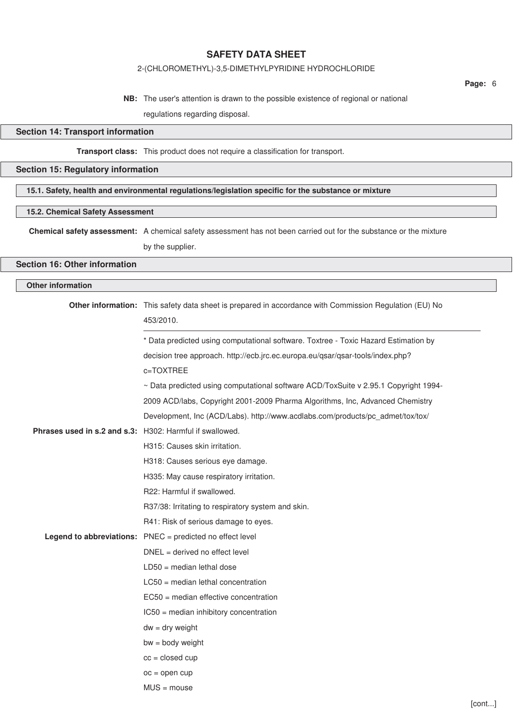## 2-(CHLOROMETHYL)-3,5-DIMETHYLPYRIDINE HYDROCHLORIDE

**NB:** The user's attention is drawn to the possible existence of regional or national regulations regarding disposal.

## **Section 14: Transport information**

## **Transport class:** This product does not require a classification for transport.

## **Section 15: Regulatory information**

## **15.1. Safety, health and environmental regulations/legislation specific for the substance or mixture**

## **15.2. Chemical Safety Assessment**

**Chemical safety assessment:** A chemical safety assessment has not been carried out for the substance or the mixture

by the supplier.

## **Section 16: Other information**

## **Other information**

|                                                                 | Other information: This safety data sheet is prepared in accordance with Commission Regulation (EU) No<br>453/2010. |
|-----------------------------------------------------------------|---------------------------------------------------------------------------------------------------------------------|
|                                                                 | * Data predicted using computational software. Toxtree - Toxic Hazard Estimation by                                 |
|                                                                 | decision tree approach. http://ecb.jrc.ec.europa.eu/qsar/qsar-tools/index.php?                                      |
|                                                                 | c=TOXTREE                                                                                                           |
|                                                                 | ~ Data predicted using computational software ACD/ToxSuite v 2.95.1 Copyright 1994-                                 |
|                                                                 | 2009 ACD/labs, Copyright 2001-2009 Pharma Algorithms, Inc, Advanced Chemistry                                       |
|                                                                 | Development, Inc (ACD/Labs). http://www.acdlabs.com/products/pc_admet/tox/tox/                                      |
| <b>Phrases used in s.2 and s.3:</b> H302: Harmful if swallowed. |                                                                                                                     |
|                                                                 | H315: Causes skin irritation.                                                                                       |
|                                                                 | H318: Causes serious eye damage.                                                                                    |
|                                                                 | H335: May cause respiratory irritation.                                                                             |
|                                                                 | R22: Harmful if swallowed.                                                                                          |
|                                                                 | R37/38: Irritating to respiratory system and skin.                                                                  |
|                                                                 | R41: Risk of serious damage to eyes.                                                                                |
|                                                                 | Legend to abbreviations: PNEC = predicted no effect level                                                           |
|                                                                 | $DNEL = derived no effect level$                                                                                    |
|                                                                 | $LD50 = median$ lethal dose                                                                                         |
|                                                                 | $LC50$ = median lethal concentration                                                                                |
|                                                                 | $EC50$ = median effective concentration                                                                             |
|                                                                 | IC50 = median inhibitory concentration                                                                              |
|                                                                 | $dw = dry$ weight                                                                                                   |
|                                                                 | $bw = body weight$                                                                                                  |
|                                                                 | $cc = closed cup$                                                                                                   |
|                                                                 | $oc = open cup$                                                                                                     |
|                                                                 | $MUS = mouse$                                                                                                       |